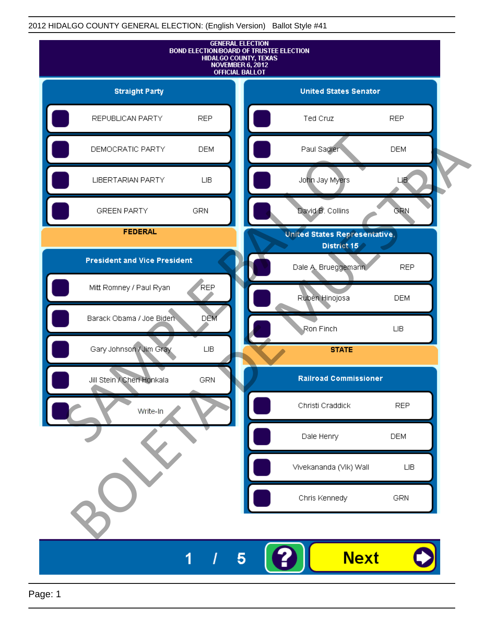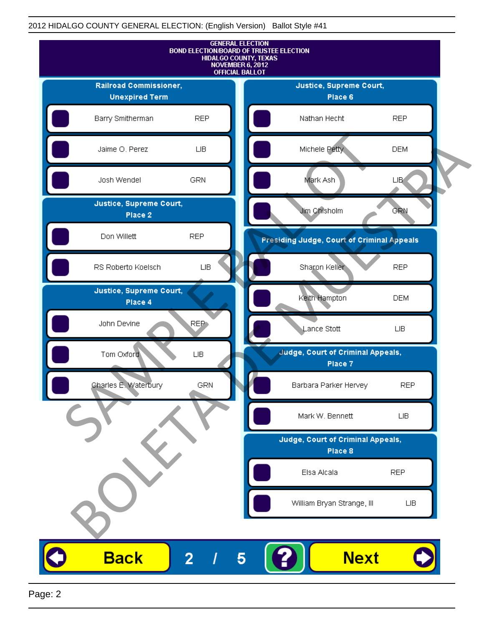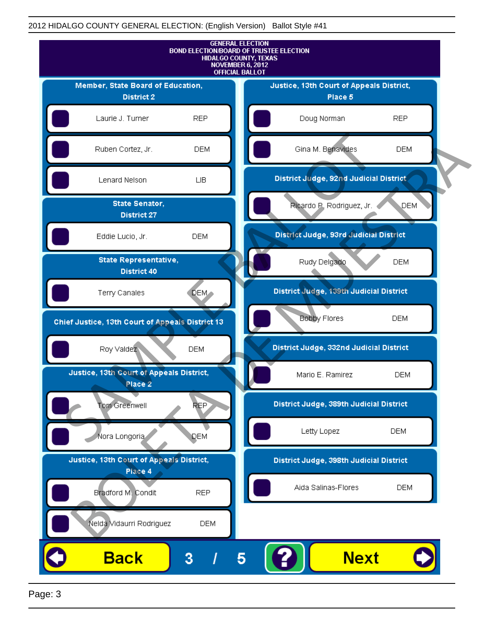

Page: 3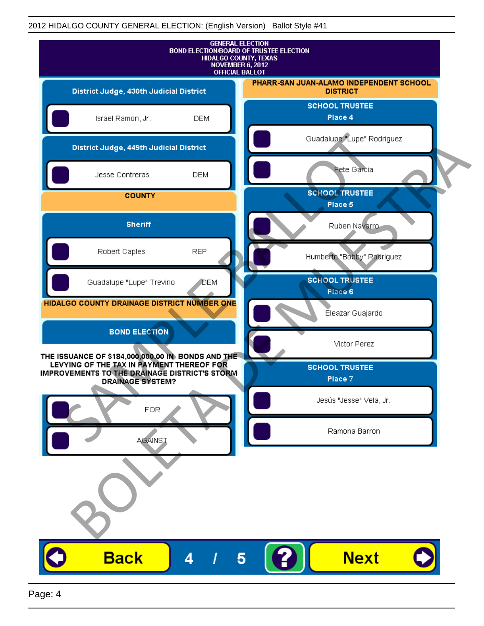|                                                                                                                                                                            |              | <b>GENERAL ELECTION</b><br>BOND ELECTION/BOARD OF TRUSTEE ELECTION<br>HIDALGO COUNTY, TEXAS<br>NOVEMBER 6, 2012<br><b>OFFICIAL BALLOT</b> |
|----------------------------------------------------------------------------------------------------------------------------------------------------------------------------|--------------|-------------------------------------------------------------------------------------------------------------------------------------------|
| District Judge, 430th Judicial District                                                                                                                                    |              | PHARR-SAN JUAN-ALAMO INDEPENDENT SCHOOL<br><b>DISTRICT</b>                                                                                |
| Israel Ramon, Jr.                                                                                                                                                          | <b>DEM</b>   | <b>SCHOOL TRUSTEE</b><br>Place 4                                                                                                          |
| District Judge, 449th Judicial District                                                                                                                                    |              | Guadalupe "Lupe" Rodriguez                                                                                                                |
| Jesse Contreras                                                                                                                                                            | <b>DEM</b>   | Pete Garcia                                                                                                                               |
| <b>COUNTY</b>                                                                                                                                                              |              | <b>SCHOOL TRUSTEE</b><br>Place 5                                                                                                          |
| <b>Sheriff</b>                                                                                                                                                             |              | Ruben Navarro                                                                                                                             |
| Robert Caples                                                                                                                                                              | <b>REP</b>   | Humberto "Bobby" Rodriguez                                                                                                                |
| Guadalupe "Lupe" Trevino                                                                                                                                                   | <b>J</b> DEM | <b>SCHOOL TRUSTEE</b><br>Place 6                                                                                                          |
| HIDALGO COUNTY DRAINAGE DISTRICT NUMBER ONE                                                                                                                                |              | Éleazar Guajardo                                                                                                                          |
| <b>BOND ELECTION</b>                                                                                                                                                       |              | Victor Perez                                                                                                                              |
| THE ISSUANCE OF \$184,000,000.00 IN BONDS AND THE<br>LEVYING OF THE TAX IN PAYMENT THEREOF FOR<br>IMPROVEMENTS TO THE DRAINAGE DISTRICT'S STORM<br><b>DRAINAGE SYSTEM?</b> |              | <b>SCHOOL TRUSTEE</b><br>Place 7                                                                                                          |
| <b>FOR</b>                                                                                                                                                                 |              | Jesús "Jesse" Vela, Jr.                                                                                                                   |
| <b>AGAINST</b>                                                                                                                                                             |              | Ramona Barron                                                                                                                             |
|                                                                                                                                                                            |              |                                                                                                                                           |
| <b>Back</b>                                                                                                                                                                | 4            | <b>Next</b>                                                                                                                               |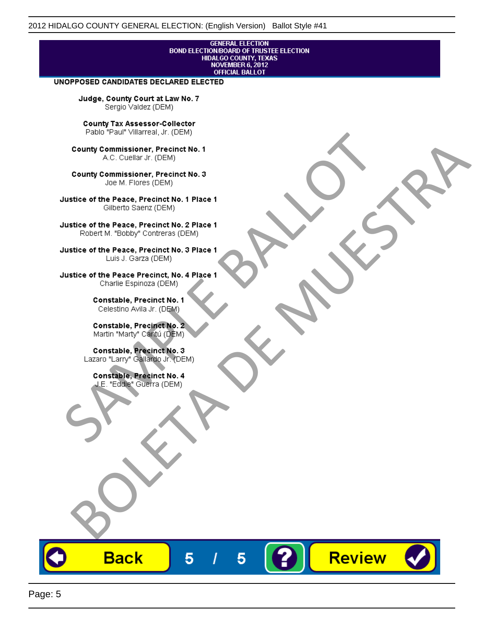# **GENERAL ELECTION** BOND ELECTION/BOARD OF TRUSTEE ELECTION<br>HIDALGO COUNTY, TEXAS<br>NOVEMBER 6, 2012<br>OFFICIAL BALLOT

Review

#### UNOPPOSED CANDIDATES DECLARED ELECTED

Judge, County Court at Law No. 7 Sergio Valdez (DEM)

County Tax Assessor-Collector

Frame The Passe, Precinct No. 1<br>
County Commissioner, Precinct No. 1<br>
SC. Cutellar Jr. (DEM)<br>
County Commissioner, Precinct No. 2<br>
Ulastice of the Peace, Precinct No. 2<br>
Ulastice of the Peace, Precinct No. 2<br>
Robert M. "Bl County Commissioner, Precinat No. 1<br>
A County Commissioner, Precinat No. 3<br>
Use of the Peace, Precinat No. 3<br>
Use of the Peace, Precinat No. 1<br>
There is a precinc No. 2<br>
There is a precinc No. 2<br>
There is a precinc No. 2<br>

**Back** 

5

5

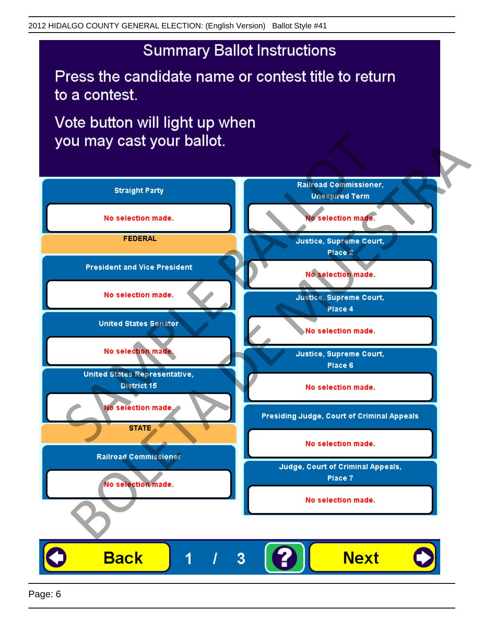## **Summary Ballot Instructions**

Press the candidate name or contest title to return to a contest.

Vote button will light up when

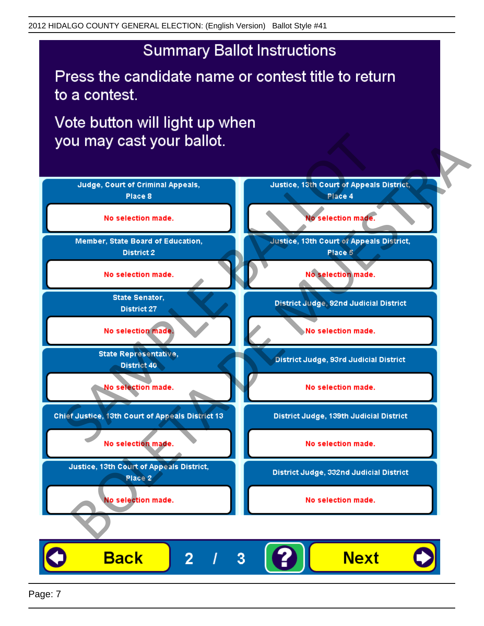## **Summary Ballot Instructions**

Press the candidate name or contest title to return to a contest.

Vote button will light up when



Page: 7